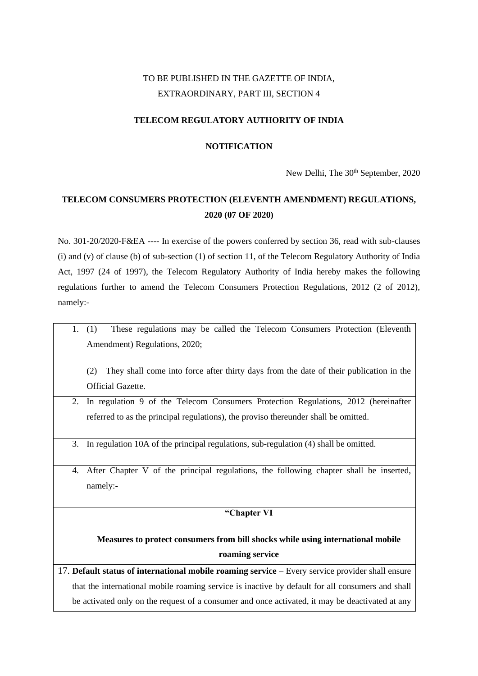# TO BE PUBLISHED IN THE GAZETTE OF INDIA, EXTRAORDINARY, PART III, SECTION 4

## **TELECOM REGULATORY AUTHORITY OF INDIA**

## **NOTIFICATION**

New Delhi, The 30<sup>th</sup> September, 2020

# **TELECOM CONSUMERS PROTECTION (ELEVENTH AMENDMENT) REGULATIONS, 2020 (07 OF 2020)**

No. 301-20/2020-F&EA ---- In exercise of the powers conferred by section 36, read with sub-clauses (i) and (v) of clause (b) of sub-section (1) of section 11, of the Telecom Regulatory Authority of India Act, 1997 (24 of 1997), the Telecom Regulatory Authority of India hereby makes the following regulations further to amend the Telecom Consumers Protection Regulations, 2012 (2 of 2012), namely:-

1. (1) These regulations may be called the Telecom Consumers Protection (Eleventh Amendment) Regulations, 2020;

(2) They shall come into force after thirty days from the date of their publication in the Official Gazette.

- 2. In regulation 9 of the Telecom Consumers Protection Regulations, 2012 (hereinafter referred to as the principal regulations), the proviso thereunder shall be omitted.
- 3. In regulation 10A of the principal regulations, sub-regulation (4) shall be omitted.
- 4. After Chapter V of the principal regulations, the following chapter shall be inserted, namely:-

## **"Chapter VI**

## **Measures to protect consumers from bill shocks while using international mobile roaming service**

17. **Default status of international mobile roaming service** – Every service provider shall ensure that the international mobile roaming service is inactive by default for all consumers and shall be activated only on the request of a consumer and once activated, it may be deactivated at any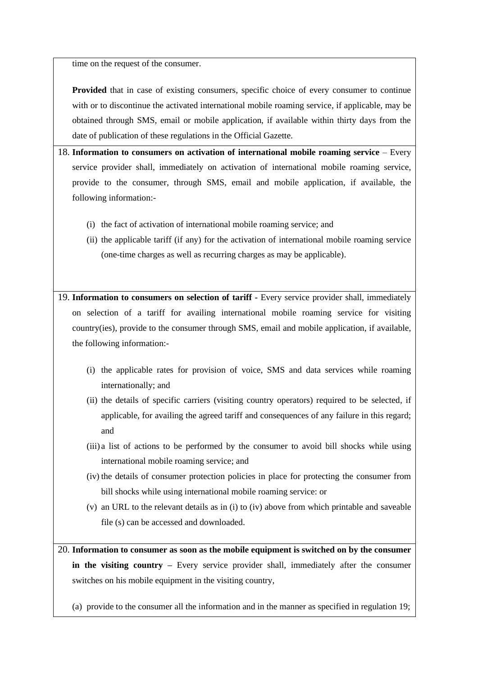time on the request of the consumer.

**Provided** that in case of existing consumers, specific choice of every consumer to continue with or to discontinue the activated international mobile roaming service, if applicable, may be obtained through SMS, email or mobile application, if available within thirty days from the date of publication of these regulations in the Official Gazette.

18. **Information to consumers on activation of international mobile roaming service** – Every service provider shall, immediately on activation of international mobile roaming service, provide to the consumer, through SMS, email and mobile application, if available, the following information:-

- (i) the fact of activation of international mobile roaming service; and
- (ii) the applicable tariff (if any) for the activation of international mobile roaming service (one-time charges as well as recurring charges as may be applicable).

19. **Information to consumers on selection of tariff -** Every service provider shall, immediately on selection of a tariff for availing international mobile roaming service for visiting country(ies), provide to the consumer through SMS, email and mobile application, if available, the following information:-

- (i) the applicable rates for provision of voice, SMS and data services while roaming internationally; and
- (ii) the details of specific carriers (visiting country operators) required to be selected, if applicable, for availing the agreed tariff and consequences of any failure in this regard; and
- (iii) a list of actions to be performed by the consumer to avoid bill shocks while using international mobile roaming service; and
- (iv) the details of consumer protection policies in place for protecting the consumer from bill shocks while using international mobile roaming service: or
- (v) an URL to the relevant details as in (i) to (iv) above from which printable and saveable file (s) can be accessed and downloaded.

20. **Information to consumer as soon as the mobile equipment is switched on by the consumer in the visiting country –** Every service provider shall, immediately after the consumer switches on his mobile equipment in the visiting country,

(a) provide to the consumer all the information and in the manner as specified in regulation 19;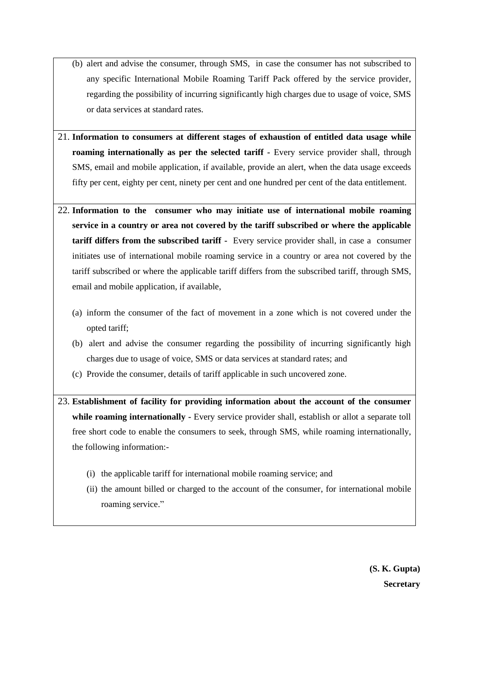- (b) alert and advise the consumer, through SMS, in case the consumer has not subscribed to any specific International Mobile Roaming Tariff Pack offered by the service provider, regarding the possibility of incurring significantly high charges due to usage of voice, SMS or data services at standard rates.
- 21. **Information to consumers at different stages of exhaustion of entitled data usage while roaming internationally as per the selected tariff -** Every service provider shall, through SMS, email and mobile application, if available, provide an alert, when the data usage exceeds fifty per cent, eighty per cent, ninety per cent and one hundred per cent of the data entitlement.
- 22. **Information to the consumer who may initiate use of international mobile roaming service in a country or area not covered by the tariff subscribed or where the applicable tariff differs from the subscribed tariff -** Every service provider shall, in case a consumer initiates use of international mobile roaming service in a country or area not covered by the tariff subscribed or where the applicable tariff differs from the subscribed tariff, through SMS, email and mobile application, if available,
	- (a) inform the consumer of the fact of movement in a zone which is not covered under the opted tariff;
	- (b) alert and advise the consumer regarding the possibility of incurring significantly high charges due to usage of voice, SMS or data services at standard rates; and
	- (c) Provide the consumer, details of tariff applicable in such uncovered zone.

23. **Establishment of facility for providing information about the account of the consumer while roaming internationally -** Every service provider shall, establish or allot a separate toll free short code to enable the consumers to seek, through SMS, while roaming internationally, the following information:-

- (i) the applicable tariff for international mobile roaming service; and
- (ii) the amount billed or charged to the account of the consumer, for international mobile roaming service."

**(S. K. Gupta) Secretary**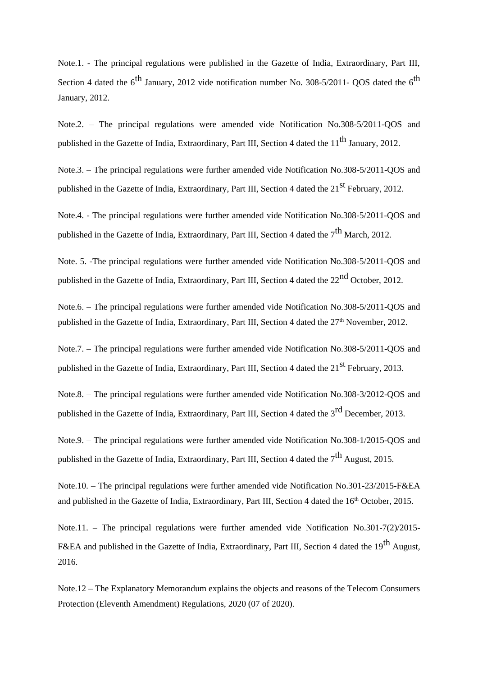Note.1. - The principal regulations were published in the Gazette of India, Extraordinary, Part III, Section 4 dated the  $6^{th}$  January, 2012 vide notification number No. 308-5/2011- QOS dated the  $6^{th}$ January, 2012.

Note.2. – The principal regulations were amended vide Notification No.308-5/2011-QOS and published in the Gazette of India, Extraordinary, Part III, Section 4 dated the  $11<sup>th</sup>$  January, 2012.

Note.3. – The principal regulations were further amended vide Notification No.308-5/2011-QOS and published in the Gazette of India, Extraordinary, Part III, Section 4 dated the 21<sup>st</sup> February, 2012.

Note.4. - The principal regulations were further amended vide Notification No.308-5/2011-QOS and published in the Gazette of India, Extraordinary, Part III, Section 4 dated the  $7<sup>th</sup>$  March, 2012.

Note. 5. -The principal regulations were further amended vide Notification No.308-5/2011-QOS and published in the Gazette of India, Extraordinary, Part III, Section 4 dated the 22<sup>nd</sup> October, 2012.

Note.6. – The principal regulations were further amended vide Notification No.308-5/2011-QOS and published in the Gazette of India, Extraordinary, Part III, Section 4 dated the 27<sup>th</sup> November, 2012.

Note.7. – The principal regulations were further amended vide Notification No.308-5/2011-QOS and published in the Gazette of India, Extraordinary, Part III, Section 4 dated the 21<sup>st</sup> February, 2013.

Note.8. – The principal regulations were further amended vide Notification No.308-3/2012-QOS and published in the Gazette of India, Extraordinary, Part III, Section 4 dated the 3<sup>rd</sup> December, 2013.

Note.9. – The principal regulations were further amended vide Notification No.308-1/2015-QOS and published in the Gazette of India, Extraordinary, Part III, Section 4 dated the  $7<sup>th</sup>$  August, 2015.

Note.10. – The principal regulations were further amended vide Notification No.301-23/2015-F&EA and published in the Gazette of India, Extraordinary, Part III, Section 4 dated the 16<sup>th</sup> October, 2015.

Note.11. – The principal regulations were further amended vide Notification No.301-7(2)/2015- F&EA and published in the Gazette of India, Extraordinary, Part III, Section 4 dated the 19<sup>th</sup> August, 2016.

Note.12 – The Explanatory Memorandum explains the objects and reasons of the Telecom Consumers Protection (Eleventh Amendment) Regulations, 2020 (07 of 2020).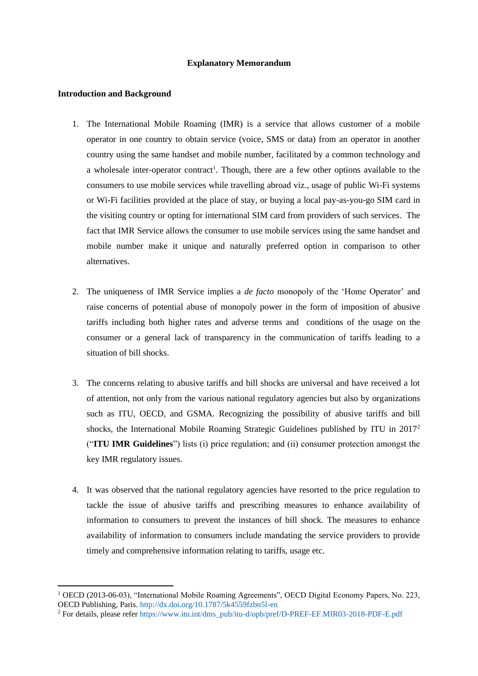#### **Explanatory Memorandum**

#### **Introduction and Background**

- 1. The International Mobile Roaming (IMR) is a service that allows customer of a mobile operator in one country to obtain service (voice, SMS or data) from an operator in another country using the same handset and mobile number, facilitated by a common technology and a wholesale inter-operator contract<sup>1</sup>. Though, there are a few other options available to the consumers to use mobile services while travelling abroad viz., usage of public Wi-Fi systems or Wi-Fi facilities provided at the place of stay, or buying a local pay-as-you-go SIM card in the visiting country or opting for international SIM card from providers of such services. The fact that IMR Service allows the consumer to use mobile services using the same handset and mobile number make it unique and naturally preferred option in comparison to other alternatives.
- 2. The uniqueness of IMR Service implies a *de facto* monopoly of the 'Home Operator' and raise concerns of potential abuse of monopoly power in the form of imposition of abusive tariffs including both higher rates and adverse terms and conditions of the usage on the consumer or a general lack of transparency in the communication of tariffs leading to a situation of bill shocks.
- 3. The concerns relating to abusive tariffs and bill shocks are universal and have received a lot of attention, not only from the various national regulatory agencies but also by organizations such as ITU, OECD, and GSMA. Recognizing the possibility of abusive tariffs and bill shocks, the International Mobile Roaming Strategic Guidelines published by ITU in 2017<sup>2</sup> ("**ITU IMR Guidelines**") lists (i) price regulation; and (ii) consumer protection amongst the key IMR regulatory issues.
- 4. It was observed that the national regulatory agencies have resorted to the price regulation to tackle the issue of abusive tariffs and prescribing measures to enhance availability of information to consumers to prevent the instances of bill shock. The measures to enhance availability of information to consumers include mandating the service providers to provide timely and comprehensive information relating to tariffs, usage etc.

<sup>1</sup> OECD (2013-06-03), "International Mobile Roaming Agreements", OECD Digital Economy Papers, No. 223, OECD Publishing, Paris. http://dx.doi.org/10.1787/5k4559fzbn5l-en

<sup>&</sup>lt;sup>2</sup> For details, please refer https://www.itu.int/dms\_pub/itu-d/opb/pref/D-PREF-EF.MIR03-2018-PDF-E.pdf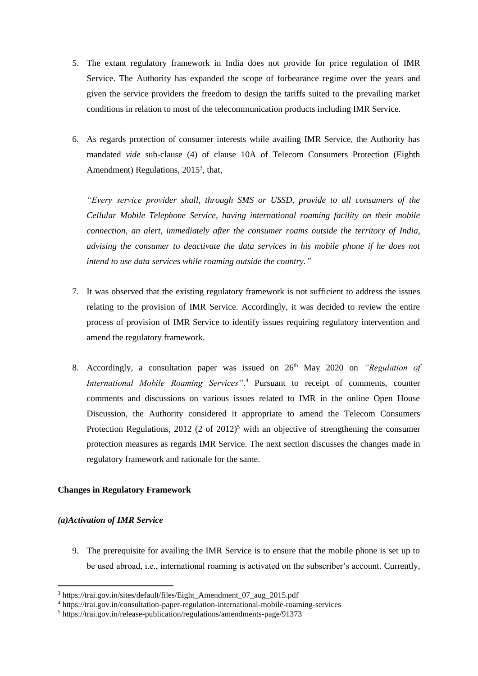- 5. The extant regulatory framework in India does not provide for price regulation of IMR Service. The Authority has expanded the scope of forbearance regime over the years and given the service providers the freedom to design the tariffs suited to the prevailing market conditions in relation to most of the telecommunication products including IMR Service.
- 6. As regards protection of consumer interests while availing IMR Service, the Authority has mandated *vide* sub-clause (4) of clause 10A of Telecom Consumers Protection (Eighth Amendment) Regulations, 2015<sup>3</sup>, that,

*"Every service provider shall, through SMS or USSD, provide to all consumers of the Cellular Mobile Telephone Service, having international roaming facility on their mobile connection, an alert, immediately after the consumer roams outside the territory of India, advising the consumer to deactivate the data services in his mobile phone if he does not intend to use data services while roaming outside the country."*

- 7. It was observed that the existing regulatory framework is not sufficient to address the issues relating to the provision of IMR Service. Accordingly, it was decided to review the entire process of provision of IMR Service to identify issues requiring regulatory intervention and amend the regulatory framework.
- 8. Accordingly, a consultation paper was issued on 26th May 2020 on *"Regulation of International Mobile Roaming Services". <sup>4</sup>* Pursuant to receipt of comments, counter comments and discussions on various issues related to IMR in the online Open House Discussion, the Authority considered it appropriate to amend the Telecom Consumers Protection Regulations, 2012 (2 of 2012)<sup>5</sup> with an objective of strengthening the consumer protection measures as regards IMR Service. The next section discusses the changes made in regulatory framework and rationale for the same.

### **Changes in Regulatory Framework**

### *(a)Activation of IMR Service*

9. The prerequisite for availing the IMR Service is to ensure that the mobile phone is set up to be used abroad, i.e., international roaming is activated on the subscriber's account. Currently,

<sup>3</sup> https://trai.gov.in/sites/default/files/Eight\_Amendment\_07\_aug\_2015.pdf

<sup>4</sup> https://trai.gov.in/consultation-paper-regulation-international-mobile-roaming-services

<sup>5</sup> https://trai.gov.in/release-publication/regulations/amendments-page/91373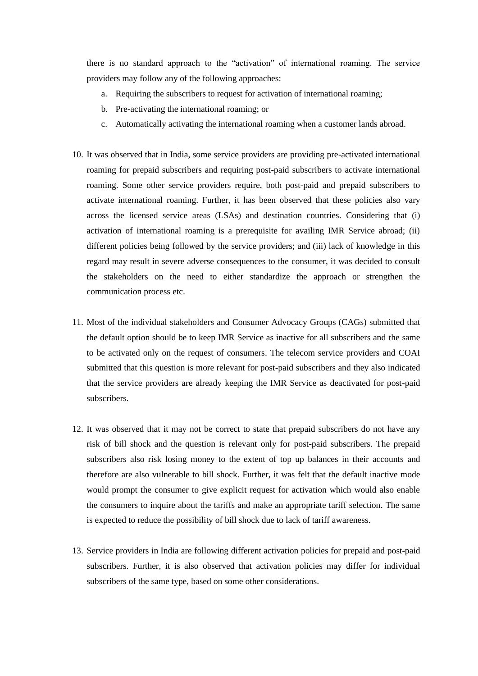there is no standard approach to the "activation" of international roaming. The service providers may follow any of the following approaches:

- a. Requiring the subscribers to request for activation of international roaming;
- b. Pre-activating the international roaming; or
- c. Automatically activating the international roaming when a customer lands abroad.
- 10. It was observed that in India, some service providers are providing pre-activated international roaming for prepaid subscribers and requiring post-paid subscribers to activate international roaming. Some other service providers require, both post-paid and prepaid subscribers to activate international roaming. Further, it has been observed that these policies also vary across the licensed service areas (LSAs) and destination countries. Considering that (i) activation of international roaming is a prerequisite for availing IMR Service abroad; (ii) different policies being followed by the service providers; and (iii) lack of knowledge in this regard may result in severe adverse consequences to the consumer, it was decided to consult the stakeholders on the need to either standardize the approach or strengthen the communication process etc.
- 11. Most of the individual stakeholders and Consumer Advocacy Groups (CAGs) submitted that the default option should be to keep IMR Service as inactive for all subscribers and the same to be activated only on the request of consumers. The telecom service providers and COAI submitted that this question is more relevant for post-paid subscribers and they also indicated that the service providers are already keeping the IMR Service as deactivated for post-paid subscribers.
- 12. It was observed that it may not be correct to state that prepaid subscribers do not have any risk of bill shock and the question is relevant only for post-paid subscribers. The prepaid subscribers also risk losing money to the extent of top up balances in their accounts and therefore are also vulnerable to bill shock. Further, it was felt that the default inactive mode would prompt the consumer to give explicit request for activation which would also enable the consumers to inquire about the tariffs and make an appropriate tariff selection. The same is expected to reduce the possibility of bill shock due to lack of tariff awareness.
- 13. Service providers in India are following different activation policies for prepaid and post-paid subscribers. Further, it is also observed that activation policies may differ for individual subscribers of the same type, based on some other considerations.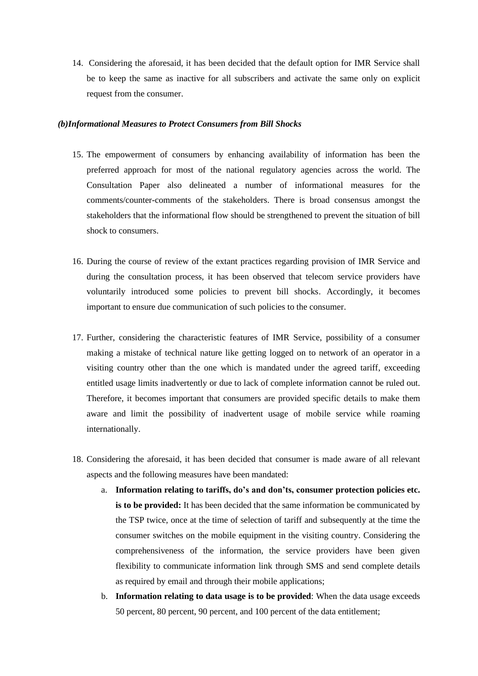14. Considering the aforesaid, it has been decided that the default option for IMR Service shall be to keep the same as inactive for all subscribers and activate the same only on explicit request from the consumer.

#### *(b)Informational Measures to Protect Consumers from Bill Shocks*

- 15. The empowerment of consumers by enhancing availability of information has been the preferred approach for most of the national regulatory agencies across the world. The Consultation Paper also delineated a number of informational measures for the comments/counter-comments of the stakeholders. There is broad consensus amongst the stakeholders that the informational flow should be strengthened to prevent the situation of bill shock to consumers.
- 16. During the course of review of the extant practices regarding provision of IMR Service and during the consultation process, it has been observed that telecom service providers have voluntarily introduced some policies to prevent bill shocks. Accordingly, it becomes important to ensure due communication of such policies to the consumer.
- 17. Further, considering the characteristic features of IMR Service, possibility of a consumer making a mistake of technical nature like getting logged on to network of an operator in a visiting country other than the one which is mandated under the agreed tariff, exceeding entitled usage limits inadvertently or due to lack of complete information cannot be ruled out. Therefore, it becomes important that consumers are provided specific details to make them aware and limit the possibility of inadvertent usage of mobile service while roaming internationally.
- 18. Considering the aforesaid, it has been decided that consumer is made aware of all relevant aspects and the following measures have been mandated:
	- a. **Information relating to tariffs, do's and don'ts, consumer protection policies etc. is to be provided:** It has been decided that the same information be communicated by the TSP twice, once at the time of selection of tariff and subsequently at the time the consumer switches on the mobile equipment in the visiting country. Considering the comprehensiveness of the information, the service providers have been given flexibility to communicate information link through SMS and send complete details as required by email and through their mobile applications;
	- b. **Information relating to data usage is to be provided**: When the data usage exceeds 50 percent, 80 percent, 90 percent, and 100 percent of the data entitlement;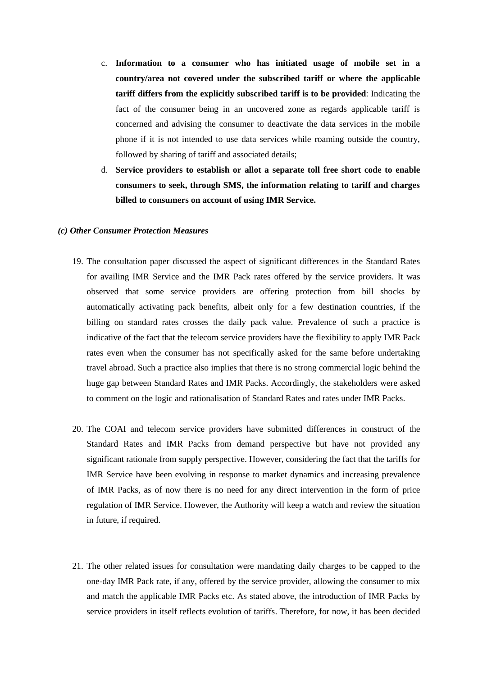- c. **Information to a consumer who has initiated usage of mobile set in a country/area not covered under the subscribed tariff or where the applicable tariff differs from the explicitly subscribed tariff is to be provided**: Indicating the fact of the consumer being in an uncovered zone as regards applicable tariff is concerned and advising the consumer to deactivate the data services in the mobile phone if it is not intended to use data services while roaming outside the country, followed by sharing of tariff and associated details;
- d. **Service providers to establish or allot a separate toll free short code to enable consumers to seek, through SMS, the information relating to tariff and charges billed to consumers on account of using IMR Service.**

#### *(c) Other Consumer Protection Measures*

- 19. The consultation paper discussed the aspect of significant differences in the Standard Rates for availing IMR Service and the IMR Pack rates offered by the service providers. It was observed that some service providers are offering protection from bill shocks by automatically activating pack benefits, albeit only for a few destination countries, if the billing on standard rates crosses the daily pack value. Prevalence of such a practice is indicative of the fact that the telecom service providers have the flexibility to apply IMR Pack rates even when the consumer has not specifically asked for the same before undertaking travel abroad. Such a practice also implies that there is no strong commercial logic behind the huge gap between Standard Rates and IMR Packs. Accordingly, the stakeholders were asked to comment on the logic and rationalisation of Standard Rates and rates under IMR Packs.
- 20. The COAI and telecom service providers have submitted differences in construct of the Standard Rates and IMR Packs from demand perspective but have not provided any significant rationale from supply perspective. However, considering the fact that the tariffs for IMR Service have been evolving in response to market dynamics and increasing prevalence of IMR Packs, as of now there is no need for any direct intervention in the form of price regulation of IMR Service. However, the Authority will keep a watch and review the situation in future, if required.
- 21. The other related issues for consultation were mandating daily charges to be capped to the one-day IMR Pack rate, if any, offered by the service provider, allowing the consumer to mix and match the applicable IMR Packs etc. As stated above, the introduction of IMR Packs by service providers in itself reflects evolution of tariffs. Therefore, for now, it has been decided